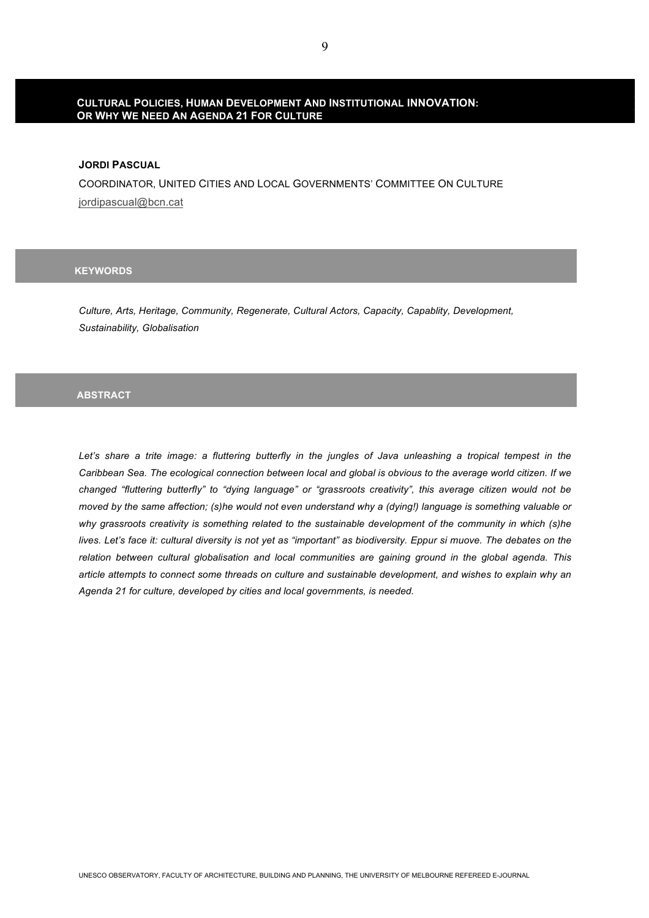# **CULTURAL POLICIES, HUMAN DEVELOPMENT AND INSTITUTIONAL INNOVATION: OR WHY WE NEED AN AGENDA 21 FOR CULTURE**

### **JORDI PASCUAL**

COORDINATOR, UNITED CITIES AND LOCAL GOVERNMENTS' COMMITTEE ON CULTURE jordipascual@bcn.cat

# **KEYWORDS**

*Culture, Arts, Heritage, Community, Regenerate, Cultural Actors, Capacity, Capablity, Development, Sustainability, Globalisation*

### **ABSTRACT**

Let's share a trite image: a fluttering butterfly in the jungles of Java unleashing a tropical tempest in the *Caribbean Sea. The ecological connection between local and global is obvious to the average world citizen. If we changed "fluttering butterfly" to "dying language" or "grassroots creativity", this average citizen would not be moved by the same affection; (s)he would not even understand why a (dying!) language is something valuable or why grassroots creativity is something related to the sustainable development of the community in which (s)he lives. Let's face it: cultural diversity is not yet as "important" as biodiversity. Eppur si muove. The debates on the relation between cultural globalisation and local communities are gaining ground in the global agenda. This article attempts to connect some threads on culture and sustainable development, and wishes to explain why an Agenda 21 for culture, developed by cities and local governments, is needed.*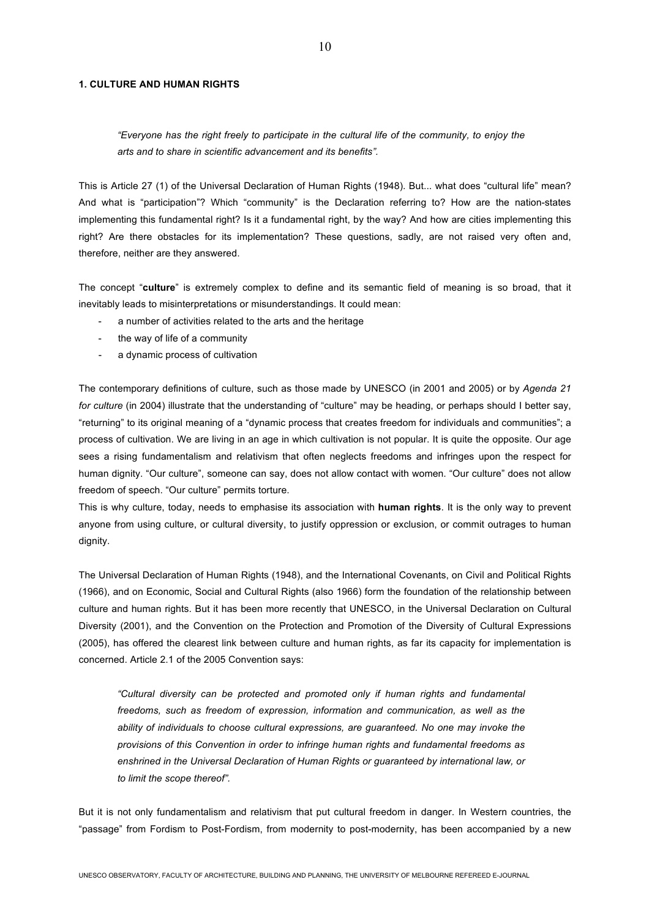#### **1. CULTURE AND HUMAN RIGHTS**

# *"Everyone has the right freely to participate in the cultural life of the community, to enjoy the arts and to share in scientific advancement and its benefits".*

This is Article 27 (1) of the Universal Declaration of Human Rights (1948). But... what does "cultural life" mean? And what is "participation"? Which "community" is the Declaration referring to? How are the nation-states implementing this fundamental right? Is it a fundamental right, by the way? And how are cities implementing this right? Are there obstacles for its implementation? These questions, sadly, are not raised very often and, therefore, neither are they answered.

The concept "**culture**" is extremely complex to define and its semantic field of meaning is so broad, that it inevitably leads to misinterpretations or misunderstandings. It could mean:

- a number of activities related to the arts and the heritage
- the way of life of a community
- a dynamic process of cultivation

The contemporary definitions of culture, such as those made by UNESCO (in 2001 and 2005) or by *Agenda 21 for culture* (in 2004) illustrate that the understanding of "culture" may be heading, or perhaps should I better say, "returning" to its original meaning of a "dynamic process that creates freedom for individuals and communities"; a process of cultivation. We are living in an age in which cultivation is not popular. It is quite the opposite. Our age sees a rising fundamentalism and relativism that often neglects freedoms and infringes upon the respect for human dignity. "Our culture", someone can say, does not allow contact with women. "Our culture" does not allow freedom of speech. "Our culture" permits torture.

This is why culture, today, needs to emphasise its association with **human rights**. It is the only way to prevent anyone from using culture, or cultural diversity, to justify oppression or exclusion, or commit outrages to human dignity.

The Universal Declaration of Human Rights (1948), and the International Covenants, on Civil and Political Rights (1966), and on Economic, Social and Cultural Rights (also 1966) form the foundation of the relationship between culture and human rights. But it has been more recently that UNESCO, in the Universal Declaration on Cultural Diversity (2001), and the Convention on the Protection and Promotion of the Diversity of Cultural Expressions (2005), has offered the clearest link between culture and human rights, as far its capacity for implementation is concerned. Article 2.1 of the 2005 Convention says:

*"Cultural diversity can be protected and promoted only if human rights and fundamental freedoms, such as freedom of expression, information and communication, as well as the ability of individuals to choose cultural expressions, are guaranteed. No one may invoke the provisions of this Convention in order to infringe human rights and fundamental freedoms as enshrined in the Universal Declaration of Human Rights or guaranteed by international law, or to limit the scope thereof".*

But it is not only fundamentalism and relativism that put cultural freedom in danger. In Western countries, the "passage" from Fordism to Post-Fordism, from modernity to post-modernity, has been accompanied by a new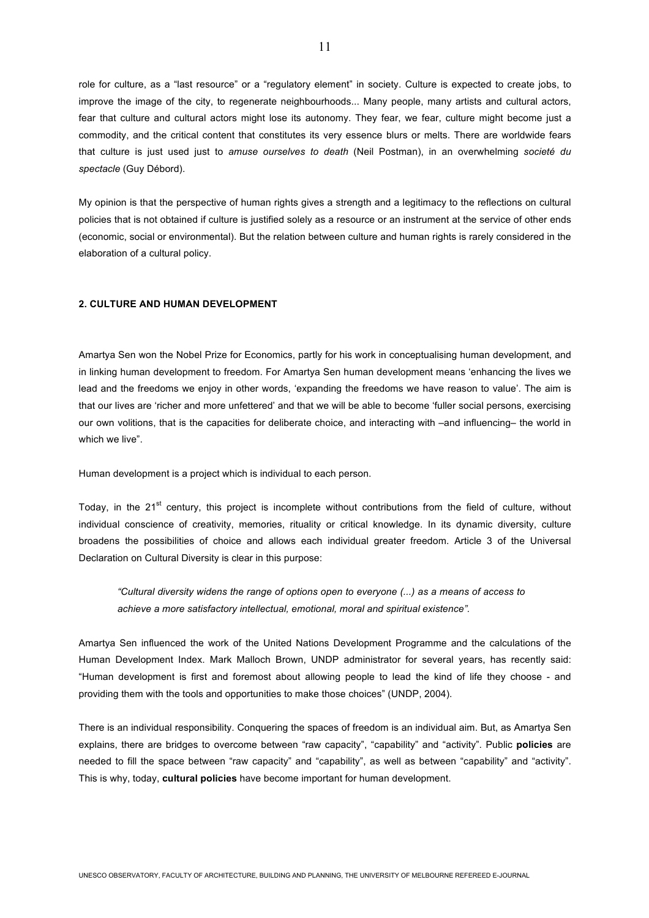role for culture, as a "last resource" or a "regulatory element" in society. Culture is expected to create jobs, to improve the image of the city, to regenerate neighbourhoods... Many people, many artists and cultural actors, fear that culture and cultural actors might lose its autonomy. They fear, we fear, culture might become just a commodity, and the critical content that constitutes its very essence blurs or melts. There are worldwide fears that culture is just used just to *amuse ourselves to death* (Neil Postman), in an overwhelming *societé du spectacle* (Guy Débord).

My opinion is that the perspective of human rights gives a strength and a legitimacy to the reflections on cultural policies that is not obtained if culture is justified solely as a resource or an instrument at the service of other ends (economic, social or environmental). But the relation between culture and human rights is rarely considered in the elaboration of a cultural policy.

### **2. CULTURE AND HUMAN DEVELOPMENT**

Amartya Sen won the Nobel Prize for Economics, partly for his work in conceptualising human development, and in linking human development to freedom. For Amartya Sen human development means 'enhancing the lives we lead and the freedoms we enjoy in other words, 'expanding the freedoms we have reason to value'. The aim is that our lives are 'richer and more unfettered' and that we will be able to become 'fuller social persons, exercising our own volitions, that is the capacities for deliberate choice, and interacting with –and influencing– the world in which we live".

Human development is a project which is individual to each person.

Today, in the  $21<sup>st</sup>$  century, this project is incomplete without contributions from the field of culture, without individual conscience of creativity, memories, rituality or critical knowledge. In its dynamic diversity, culture broadens the possibilities of choice and allows each individual greater freedom. Article 3 of the Universal Declaration on Cultural Diversity is clear in this purpose:

*"Cultural diversity widens the range of options open to everyone (...) as a means of access to achieve a more satisfactory intellectual, emotional, moral and spiritual existence".* 

Amartya Sen influenced the work of the United Nations Development Programme and the calculations of the Human Development Index. Mark Malloch Brown, UNDP administrator for several years, has recently said: "Human development is first and foremost about allowing people to lead the kind of life they choose - and providing them with the tools and opportunities to make those choices" (UNDP, 2004).

There is an individual responsibility. Conquering the spaces of freedom is an individual aim. But, as Amartya Sen explains, there are bridges to overcome between "raw capacity", "capability" and "activity". Public **policies** are needed to fill the space between "raw capacity" and "capability", as well as between "capability" and "activity". This is why, today, **cultural policies** have become important for human development.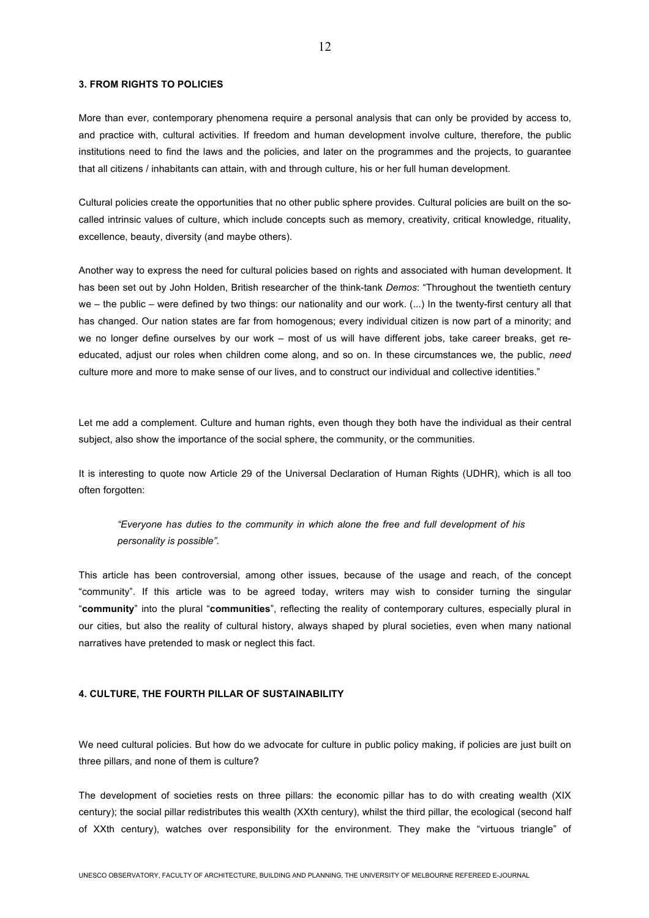### **3. FROM RIGHTS TO POLICIES**

More than ever, contemporary phenomena require a personal analysis that can only be provided by access to, and practice with, cultural activities. If freedom and human development involve culture, therefore, the public institutions need to find the laws and the policies, and later on the programmes and the projects, to guarantee that all citizens / inhabitants can attain, with and through culture, his or her full human development.

Cultural policies create the opportunities that no other public sphere provides. Cultural policies are built on the socalled intrinsic values of culture, which include concepts such as memory, creativity, critical knowledge, rituality, excellence, beauty, diversity (and maybe others).

Another way to express the need for cultural policies based on rights and associated with human development. It has been set out by John Holden, British researcher of the think-tank *Demos*: "Throughout the twentieth century we – the public – were defined by two things: our nationality and our work. (...) In the twenty-first century all that has changed. Our nation states are far from homogenous; every individual citizen is now part of a minority; and we no longer define ourselves by our work – most of us will have different jobs, take career breaks, get reeducated, adjust our roles when children come along, and so on. In these circumstances we, the public, *need*  culture more and more to make sense of our lives, and to construct our individual and collective identities."

Let me add a complement. Culture and human rights, even though they both have the individual as their central subject, also show the importance of the social sphere, the community, or the communities.

It is interesting to quote now Article 29 of the Universal Declaration of Human Rights (UDHR), which is all too often forgotten:

*"Everyone has duties to the community in which alone the free and full development of his personality is possible".* 

This article has been controversial, among other issues, because of the usage and reach, of the concept "community". If this article was to be agreed today, writers may wish to consider turning the singular "**community**" into the plural "**communities**", reflecting the reality of contemporary cultures, especially plural in our cities, but also the reality of cultural history, always shaped by plural societies, even when many national narratives have pretended to mask or neglect this fact.

#### **4. CULTURE, THE FOURTH PILLAR OF SUSTAINABILITY**

We need cultural policies. But how do we advocate for culture in public policy making, if policies are just built on three pillars, and none of them is culture?

The development of societies rests on three pillars: the economic pillar has to do with creating wealth (XIX century); the social pillar redistributes this wealth (XXth century), whilst the third pillar, the ecological (second half of XXth century), watches over responsibility for the environment. They make the "virtuous triangle" of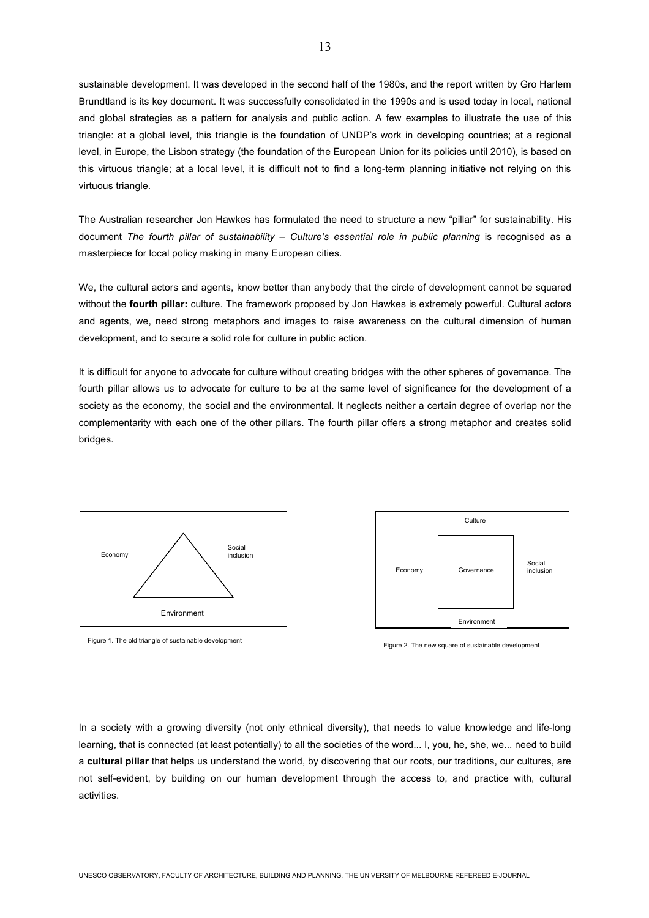sustainable development. It was developed in the second half of the 1980s, and the report written by Gro Harlem Brundtland is its key document. It was successfully consolidated in the 1990s and is used today in local, national and global strategies as a pattern for analysis and public action. A few examples to illustrate the use of this triangle: at a global level, this triangle is the foundation of UNDP's work in developing countries; at a regional level, in Europe, the Lisbon strategy (the foundation of the European Union for its policies until 2010), is based on this virtuous triangle; at a local level, it is difficult not to find a long-term planning initiative not relying on this virtuous triangle.

The Australian researcher Jon Hawkes has formulated the need to structure a new "pillar" for sustainability. His document *The fourth pillar of sustainability* – *Culture's essential role in public planning* is recognised as a masterpiece for local policy making in many European cities.

We, the cultural actors and agents, know better than anybody that the circle of development cannot be squared without the **fourth pillar:** culture. The framework proposed by Jon Hawkes is extremely powerful. Cultural actors and agents, we, need strong metaphors and images to raise awareness on the cultural dimension of human development, and to secure a solid role for culture in public action.

It is difficult for anyone to advocate for culture without creating bridges with the other spheres of governance. The fourth pillar allows us to advocate for culture to be at the same level of significance for the development of a society as the economy, the social and the environmental. It neglects neither a certain degree of overlap nor the complementarity with each one of the other pillars. The fourth pillar offers a strong metaphor and creates solid bridges.



Figure 1. The old triangle of sustainable development



Figure 2. The new square of sustainable development

In a society with a growing diversity (not only ethnical diversity), that needs to value knowledge and life-long learning, that is connected (at least potentially) to all the societies of the word... I, you, he, she, we... need to build a **cultural pillar** that helps us understand the world, by discovering that our roots, our traditions, our cultures, are not self-evident, by building on our human development through the access to, and practice with, cultural activities.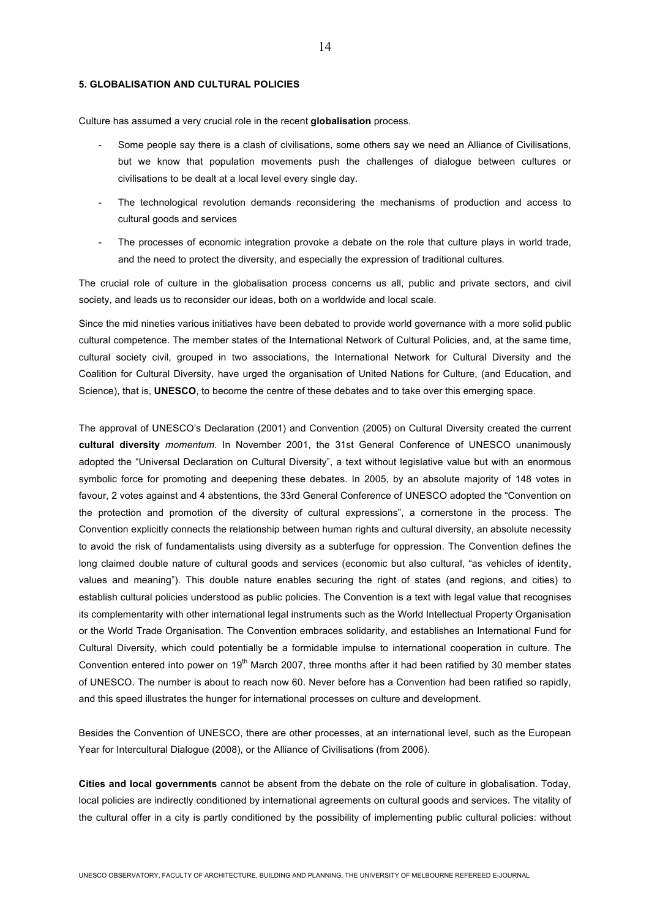### **5. GLOBALISATION AND CULTURAL POLICIES**

Culture has assumed a very crucial role in the recent **globalisation** process.

- Some people say there is a clash of civilisations, some others say we need an Alliance of Civilisations, but we know that population movements push the challenges of dialogue between cultures or civilisations to be dealt at a local level every single day.
- The technological revolution demands reconsidering the mechanisms of production and access to cultural goods and services
- The processes of economic integration provoke a debate on the role that culture plays in world trade, and the need to protect the diversity, and especially the expression of traditional cultures.

The crucial role of culture in the globalisation process concerns us all, public and private sectors, and civil society, and leads us to reconsider our ideas, both on a worldwide and local scale.

Since the mid nineties various initiatives have been debated to provide world governance with a more solid public cultural competence. The member states of the International Network of Cultural Policies, and, at the same time, cultural society civil, grouped in two associations, the International Network for Cultural Diversity and the Coalition for Cultural Diversity, have urged the organisation of United Nations for Culture, (and Education, and Science), that is, **UNESCO**, to become the centre of these debates and to take over this emerging space.

The approval of UNESCO's Declaration (2001) and Convention (2005) on Cultural Diversity created the current **cultural diversity** *momentum*. In November 2001, the 31st General Conference of UNESCO unanimously adopted the "Universal Declaration on Cultural Diversity", a text without legislative value but with an enormous symbolic force for promoting and deepening these debates. In 2005, by an absolute majority of 148 votes in favour, 2 votes against and 4 abstentions, the 33rd General Conference of UNESCO adopted the "Convention on the protection and promotion of the diversity of cultural expressions", a cornerstone in the process. The Convention explicitly connects the relationship between human rights and cultural diversity, an absolute necessity to avoid the risk of fundamentalists using diversity as a subterfuge for oppression. The Convention defines the long claimed double nature of cultural goods and services (economic but also cultural, "as vehicles of identity, values and meaning"). This double nature enables securing the right of states (and regions, and cities) to establish cultural policies understood as public policies. The Convention is a text with legal value that recognises its complementarity with other international legal instruments such as the World Intellectual Property Organisation or the World Trade Organisation. The Convention embraces solidarity, and establishes an International Fund for Cultural Diversity, which could potentially be a formidable impulse to international cooperation in culture. The Convention entered into power on  $19<sup>th</sup>$  March 2007, three months after it had been ratified by 30 member states of UNESCO. The number is about to reach now 60. Never before has a Convention had been ratified so rapidly, and this speed illustrates the hunger for international processes on culture and development.

Besides the Convention of UNESCO, there are other processes, at an international level, such as the European Year for Intercultural Dialogue (2008), or the Alliance of Civilisations (from 2006).

**Cities and local governments** cannot be absent from the debate on the role of culture in globalisation. Today, local policies are indirectly conditioned by international agreements on cultural goods and services. The vitality of the cultural offer in a city is partly conditioned by the possibility of implementing public cultural policies: without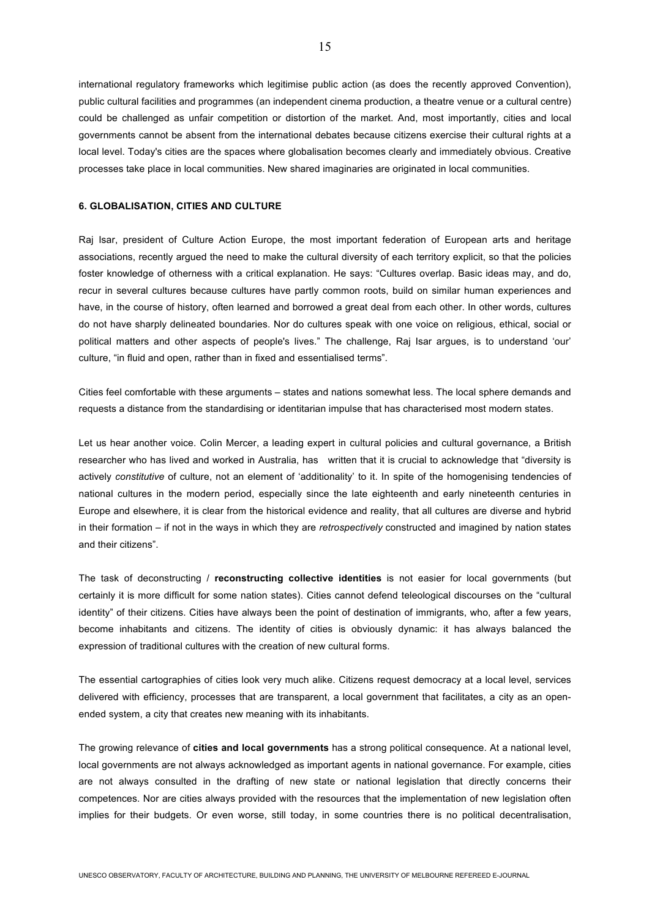international regulatory frameworks which legitimise public action (as does the recently approved Convention), public cultural facilities and programmes (an independent cinema production, a theatre venue or a cultural centre) could be challenged as unfair competition or distortion of the market. And, most importantly, cities and local governments cannot be absent from the international debates because citizens exercise their cultural rights at a local level. Today's cities are the spaces where globalisation becomes clearly and immediately obvious. Creative processes take place in local communities. New shared imaginaries are originated in local communities.

#### **6. GLOBALISATION, CITIES AND CULTURE**

Raj Isar, president of Culture Action Europe, the most important federation of European arts and heritage associations, recently argued the need to make the cultural diversity of each territory explicit, so that the policies foster knowledge of otherness with a critical explanation. He says: "Cultures overlap. Basic ideas may, and do, recur in several cultures because cultures have partly common roots, build on similar human experiences and have, in the course of history, often learned and borrowed a great deal from each other. In other words, cultures do not have sharply delineated boundaries. Nor do cultures speak with one voice on religious, ethical, social or political matters and other aspects of people's lives." The challenge, Raj Isar argues, is to understand 'our' culture, "in fluid and open, rather than in fixed and essentialised terms".

Cities feel comfortable with these arguments – states and nations somewhat less. The local sphere demands and requests a distance from the standardising or identitarian impulse that has characterised most modern states.

Let us hear another voice. Colin Mercer, a leading expert in cultural policies and cultural governance, a British researcher who has lived and worked in Australia, has written that it is crucial to acknowledge that "diversity is actively *constitutive* of culture, not an element of 'additionality' to it. In spite of the homogenising tendencies of national cultures in the modern period, especially since the late eighteenth and early nineteenth centuries in Europe and elsewhere, it is clear from the historical evidence and reality, that all cultures are diverse and hybrid in their formation – if not in the ways in which they are *retrospectively* constructed and imagined by nation states and their citizens".

The task of deconstructing / **reconstructing collective identities** is not easier for local governments (but certainly it is more difficult for some nation states). Cities cannot defend teleological discourses on the "cultural identity" of their citizens. Cities have always been the point of destination of immigrants, who, after a few years, become inhabitants and citizens. The identity of cities is obviously dynamic: it has always balanced the expression of traditional cultures with the creation of new cultural forms.

The essential cartographies of cities look very much alike. Citizens request democracy at a local level, services delivered with efficiency, processes that are transparent, a local government that facilitates, a city as an openended system, a city that creates new meaning with its inhabitants.

The growing relevance of **cities and local governments** has a strong political consequence. At a national level, local governments are not always acknowledged as important agents in national governance. For example, cities are not always consulted in the drafting of new state or national legislation that directly concerns their competences. Nor are cities always provided with the resources that the implementation of new legislation often implies for their budgets. Or even worse, still today, in some countries there is no political decentralisation,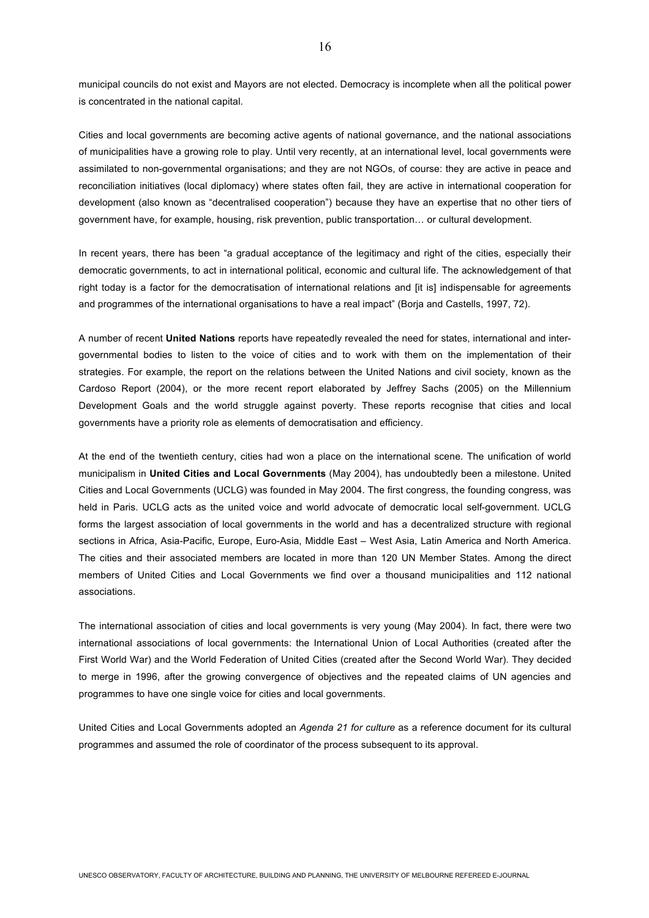municipal councils do not exist and Mayors are not elected. Democracy is incomplete when all the political power is concentrated in the national capital.

Cities and local governments are becoming active agents of national governance, and the national associations of municipalities have a growing role to play. Until very recently, at an international level, local governments were assimilated to non-governmental organisations; and they are not NGOs, of course: they are active in peace and reconciliation initiatives (local diplomacy) where states often fail, they are active in international cooperation for development (also known as "decentralised cooperation") because they have an expertise that no other tiers of government have, for example, housing, risk prevention, public transportation… or cultural development.

In recent years, there has been "a gradual acceptance of the legitimacy and right of the cities, especially their democratic governments, to act in international political, economic and cultural life. The acknowledgement of that right today is a factor for the democratisation of international relations and [it is] indispensable for agreements and programmes of the international organisations to have a real impact" (Borja and Castells, 1997, 72).

A number of recent **United Nations** reports have repeatedly revealed the need for states, international and intergovernmental bodies to listen to the voice of cities and to work with them on the implementation of their strategies. For example, the report on the relations between the United Nations and civil society, known as the Cardoso Report (2004), or the more recent report elaborated by Jeffrey Sachs (2005) on the Millennium Development Goals and the world struggle against poverty. These reports recognise that cities and local governments have a priority role as elements of democratisation and efficiency.

At the end of the twentieth century, cities had won a place on the international scene. The unification of world municipalism in **United Cities and Local Governments** (May 2004), has undoubtedly been a milestone. United Cities and Local Governments (UCLG) was founded in May 2004. The first congress, the founding congress, was held in Paris. UCLG acts as the united voice and world advocate of democratic local self-government. UCLG forms the largest association of local governments in the world and has a decentralized structure with regional sections in Africa, Asia-Pacific, Europe, Euro-Asia, Middle East – West Asia, Latin America and North America. The cities and their associated members are located in more than 120 UN Member States. Among the direct members of United Cities and Local Governments we find over a thousand municipalities and 112 national associations.

The international association of cities and local governments is very young (May 2004). In fact, there were two international associations of local governments: the International Union of Local Authorities (created after the First World War) and the World Federation of United Cities (created after the Second World War). They decided to merge in 1996, after the growing convergence of objectives and the repeated claims of UN agencies and programmes to have one single voice for cities and local governments.

United Cities and Local Governments adopted an *Agenda 21 for culture* as a reference document for its cultural programmes and assumed the role of coordinator of the process subsequent to its approval.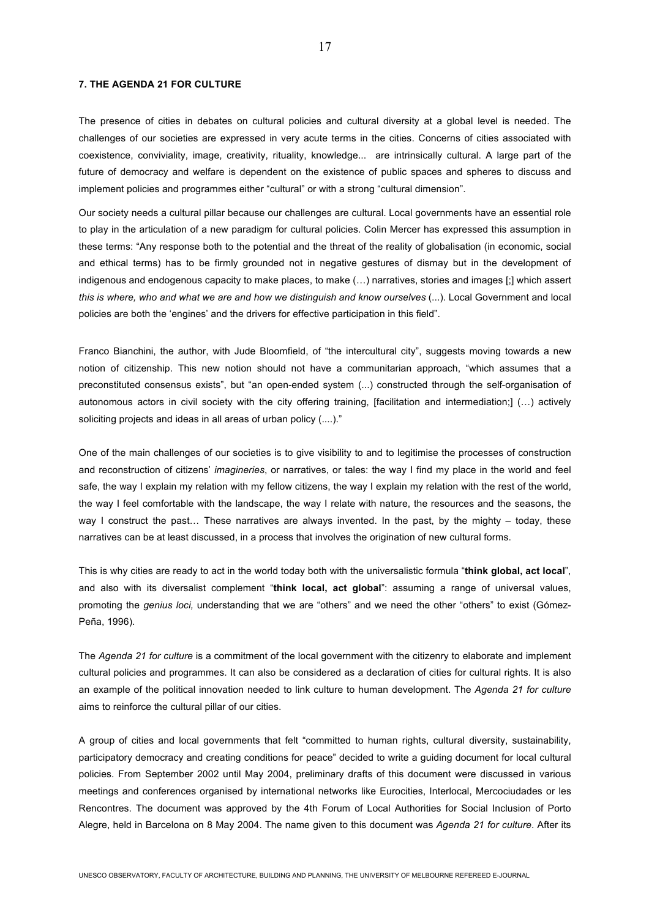#### **7. THE AGENDA 21 FOR CULTURE**

The presence of cities in debates on cultural policies and cultural diversity at a global level is needed. The challenges of our societies are expressed in very acute terms in the cities. Concerns of cities associated with coexistence, conviviality, image, creativity, rituality, knowledge... are intrinsically cultural. A large part of the future of democracy and welfare is dependent on the existence of public spaces and spheres to discuss and implement policies and programmes either "cultural" or with a strong "cultural dimension".

Our society needs a cultural pillar because our challenges are cultural. Local governments have an essential role to play in the articulation of a new paradigm for cultural policies. Colin Mercer has expressed this assumption in these terms: "Any response both to the potential and the threat of the reality of globalisation (in economic, social and ethical terms) has to be firmly grounded not in negative gestures of dismay but in the development of indigenous and endogenous capacity to make places, to make (…) narratives, stories and images [;] which assert *this is where, who and what we are and how we distinguish and know ourselves* (...). Local Government and local policies are both the 'engines' and the drivers for effective participation in this field".

Franco Bianchini, the author, with Jude Bloomfield, of "the intercultural city", suggests moving towards a new notion of citizenship. This new notion should not have a communitarian approach, "which assumes that a preconstituted consensus exists", but "an open-ended system (...) constructed through the self-organisation of autonomous actors in civil society with the city offering training, [facilitation and intermediation;] (…) actively soliciting projects and ideas in all areas of urban policy (....)."

One of the main challenges of our societies is to give visibility to and to legitimise the processes of construction and reconstruction of citizens' *imagineries*, or narratives, or tales: the way I find my place in the world and feel safe, the way I explain my relation with my fellow citizens, the way I explain my relation with the rest of the world, the way I feel comfortable with the landscape, the way I relate with nature, the resources and the seasons, the way I construct the past… These narratives are always invented. In the past, by the mighty – today, these narratives can be at least discussed, in a process that involves the origination of new cultural forms.

This is why cities are ready to act in the world today both with the universalistic formula "**think global, act local**", and also with its diversalist complement "**think local, act global**": assuming a range of universal values, promoting the *genius loci,* understanding that we are "others" and we need the other "others" to exist (Gómez-Peña, 1996).

The *Agenda 21 for culture* is a commitment of the local government with the citizenry to elaborate and implement cultural policies and programmes. It can also be considered as a declaration of cities for cultural rights. It is also an example of the political innovation needed to link culture to human development. The *Agenda 21 for culture* aims to reinforce the cultural pillar of our cities.

A group of cities and local governments that felt "committed to human rights, cultural diversity, sustainability, participatory democracy and creating conditions for peace" decided to write a guiding document for local cultural policies. From September 2002 until May 2004, preliminary drafts of this document were discussed in various meetings and conferences organised by international networks like Eurocities, Interlocal, Mercociudades or les Rencontres. The document was approved by the 4th Forum of Local Authorities for Social Inclusion of Porto Alegre, held in Barcelona on 8 May 2004. The name given to this document was *Agenda 21 for culture*. After its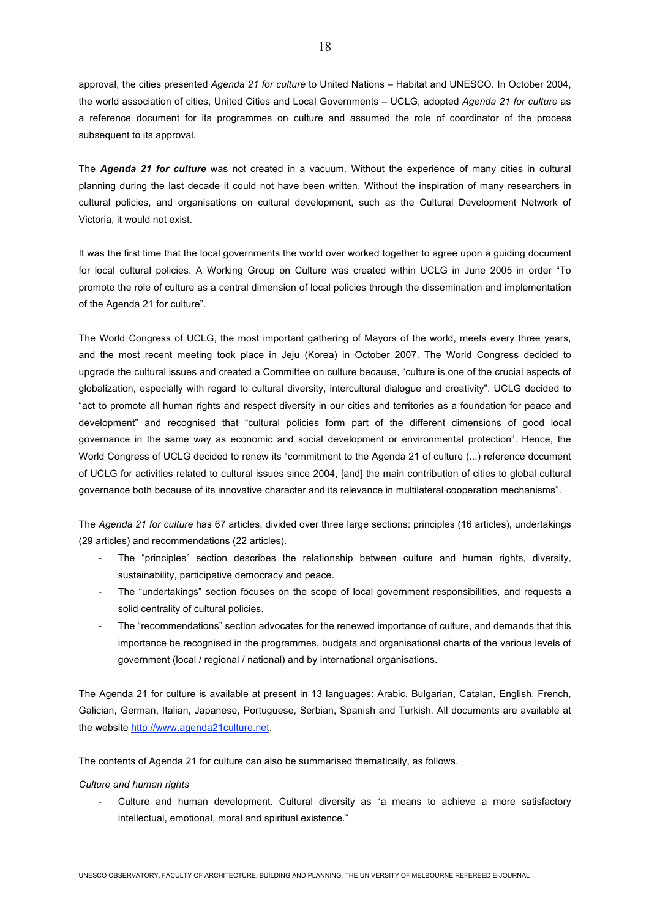approval, the cities presented *Agenda 21 for culture* to United Nations – Habitat and UNESCO. In October 2004, the world association of cities, United Cities and Local Governments – UCLG, adopted *Agenda 21 for culture* as a reference document for its programmes on culture and assumed the role of coordinator of the process subsequent to its approval.

The *Agenda 21 for culture* was not created in a vacuum. Without the experience of many cities in cultural planning during the last decade it could not have been written. Without the inspiration of many researchers in cultural policies, and organisations on cultural development, such as the Cultural Development Network of Victoria, it would not exist.

It was the first time that the local governments the world over worked together to agree upon a guiding document for local cultural policies. A Working Group on Culture was created within UCLG in June 2005 in order "To promote the role of culture as a central dimension of local policies through the dissemination and implementation of the Agenda 21 for culture".

The World Congress of UCLG, the most important gathering of Mayors of the world, meets every three years, and the most recent meeting took place in Jeju (Korea) in October 2007. The World Congress decided to upgrade the cultural issues and created a Committee on culture because, "culture is one of the crucial aspects of globalization, especially with regard to cultural diversity, intercultural dialogue and creativity". UCLG decided to "act to promote all human rights and respect diversity in our cities and territories as a foundation for peace and development" and recognised that "cultural policies form part of the different dimensions of good local governance in the same way as economic and social development or environmental protection". Hence, the World Congress of UCLG decided to renew its "commitment to the Agenda 21 of culture (...) reference document of UCLG for activities related to cultural issues since 2004, [and] the main contribution of cities to global cultural governance both because of its innovative character and its relevance in multilateral cooperation mechanisms".

The *Agenda 21 for culture* has 67 articles, divided over three large sections: principles (16 articles), undertakings (29 articles) and recommendations (22 articles).

- The "principles" section describes the relationship between culture and human rights, diversity, sustainability, participative democracy and peace.
- The "undertakings" section focuses on the scope of local government responsibilities, and requests a solid centrality of cultural policies.
- The "recommendations" section advocates for the renewed importance of culture, and demands that this importance be recognised in the programmes, budgets and organisational charts of the various levels of government (local / regional / national) and by international organisations.

The Agenda 21 for culture is available at present in 13 languages: Arabic, Bulgarian, Catalan, English, French, Galician, German, Italian, Japanese, Portuguese, Serbian, Spanish and Turkish. All documents are available at the website http://www.agenda21culture.net.

The contents of Agenda 21 for culture can also be summarised thematically, as follows.

#### *Culture and human rights*

Culture and human development. Cultural diversity as "a means to achieve a more satisfactory intellectual, emotional, moral and spiritual existence."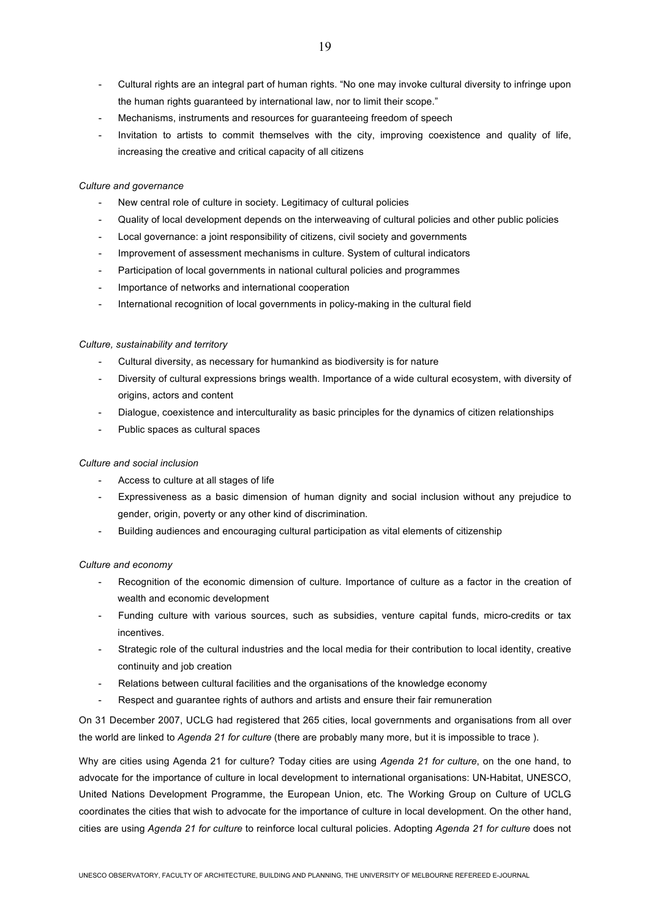- Cultural rights are an integral part of human rights. "No one may invoke cultural diversity to infringe upon the human rights guaranteed by international law, nor to limit their scope."
- Mechanisms, instruments and resources for guaranteeing freedom of speech
- Invitation to artists to commit themselves with the city, improving coexistence and quality of life, increasing the creative and critical capacity of all citizens

## *Culture and governance*

- New central role of culture in society. Legitimacy of cultural policies
- Quality of local development depends on the interweaving of cultural policies and other public policies
- Local governance: a joint responsibility of citizens, civil society and governments
- Improvement of assessment mechanisms in culture. System of cultural indicators
- Participation of local governments in national cultural policies and programmes
- Importance of networks and international cooperation
- International recognition of local governments in policy-making in the cultural field

### *Culture, sustainability and territory*

- Cultural diversity, as necessary for humankind as biodiversity is for nature
- Diversity of cultural expressions brings wealth. Importance of a wide cultural ecosystem, with diversity of origins, actors and content
- Dialogue, coexistence and interculturality as basic principles for the dynamics of citizen relationships
- Public spaces as cultural spaces

### *Culture and social inclusion*

- Access to culture at all stages of life
- Expressiveness as a basic dimension of human dignity and social inclusion without any prejudice to gender, origin, poverty or any other kind of discrimination.
- Building audiences and encouraging cultural participation as vital elements of citizenship

### *Culture and economy*

- Recognition of the economic dimension of culture. Importance of culture as a factor in the creation of wealth and economic development
- Funding culture with various sources, such as subsidies, venture capital funds, micro-credits or tax incentives.
- Strategic role of the cultural industries and the local media for their contribution to local identity, creative continuity and job creation
- Relations between cultural facilities and the organisations of the knowledge economy
- Respect and quarantee rights of authors and artists and ensure their fair remuneration

On 31 December 2007, UCLG had registered that 265 cities, local governments and organisations from all over the world are linked to *Agenda 21 for culture* (there are probably many more, but it is impossible to trace ).

Why are cities using Agenda 21 for culture? Today cities are using *Agenda 21 for culture*, on the one hand, to advocate for the importance of culture in local development to international organisations: UN-Habitat, UNESCO, United Nations Development Programme, the European Union, etc. The Working Group on Culture of UCLG coordinates the cities that wish to advocate for the importance of culture in local development. On the other hand, cities are using *Agenda 21 for culture* to reinforce local cultural policies. Adopting *Agenda 21 for culture* does not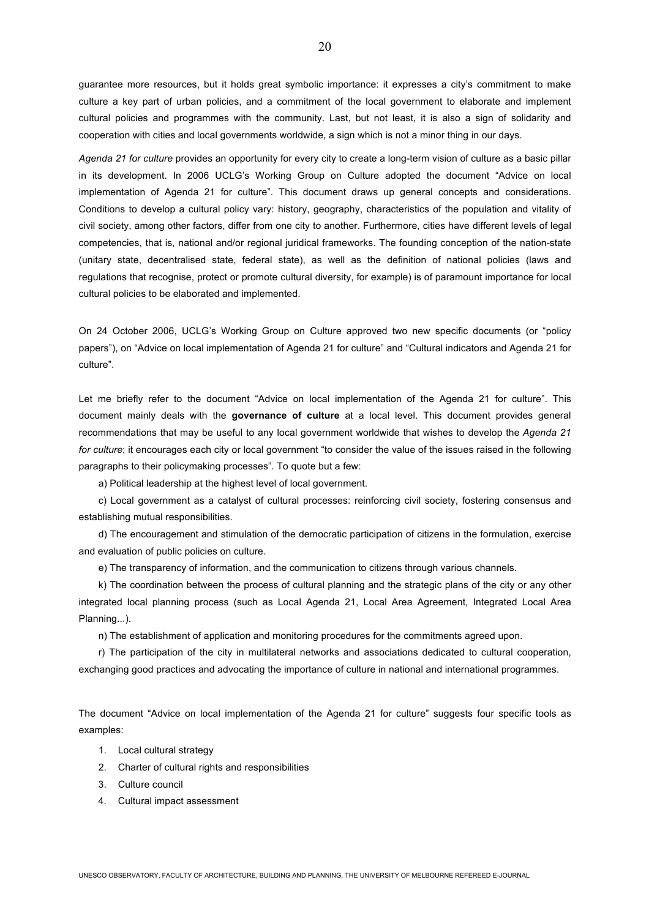guarantee more resources, but it holds great symbolic importance: it expresses a city's commitment to make culture a key part of urban policies, and a commitment of the local government to elaborate and implement cultural policies and programmes with the community. Last, but not least, it is also a sign of solidarity and cooperation with cities and local governments worldwide, a sign which is not a minor thing in our days.

*Agenda 21 for culture* provides an opportunity for every city to create a long-term vision of culture as a basic pillar in its development. In 2006 UCLG's Working Group on Culture adopted the document "Advice on local implementation of Agenda 21 for culture". This document draws up general concepts and considerations. Conditions to develop a cultural policy vary: history, geography, characteristics of the population and vitality of civil society, among other factors, differ from one city to another. Furthermore, cities have different levels of legal competencies, that is, national and/or regional juridical frameworks. The founding conception of the nation-state (unitary state, decentralised state, federal state), as well as the definition of national policies (laws and regulations that recognise, protect or promote cultural diversity, for example) is of paramount importance for local cultural policies to be elaborated and implemented.

On 24 October 2006, UCLG's Working Group on Culture approved two new specific documents (or "policy papers"), on "Advice on local implementation of Agenda 21 for culture" and "Cultural indicators and Agenda 21 for culture".

Let me briefly refer to the document "Advice on local implementation of the Agenda 21 for culture". This document mainly deals with the **governance of culture** at a local level. This document provides general recommendations that may be useful to any local government worldwide that wishes to develop the *Agenda 21 for culture*; it encourages each city or local government "to consider the value of the issues raised in the following paragraphs to their policymaking processes". To quote but a few:

a) Political leadership at the highest level of local government.

c) Local government as a catalyst of cultural processes: reinforcing civil society, fostering consensus and establishing mutual responsibilities.

d) The encouragement and stimulation of the democratic participation of citizens in the formulation, exercise and evaluation of public policies on culture.

e) The transparency of information, and the communication to citizens through various channels.

k) The coordination between the process of cultural planning and the strategic plans of the city or any other integrated local planning process (such as Local Agenda 21, Local Area Agreement, Integrated Local Area Planning...).

n) The establishment of application and monitoring procedures for the commitments agreed upon.

r) The participation of the city in multilateral networks and associations dedicated to cultural cooperation, exchanging good practices and advocating the importance of culture in national and international programmes.

The document "Advice on local implementation of the Agenda 21 for culture" suggests four specific tools as examples:

- 1. Local cultural strategy
- 2. Charter of cultural rights and responsibilities
- 3. Culture council
- 4. Cultural impact assessment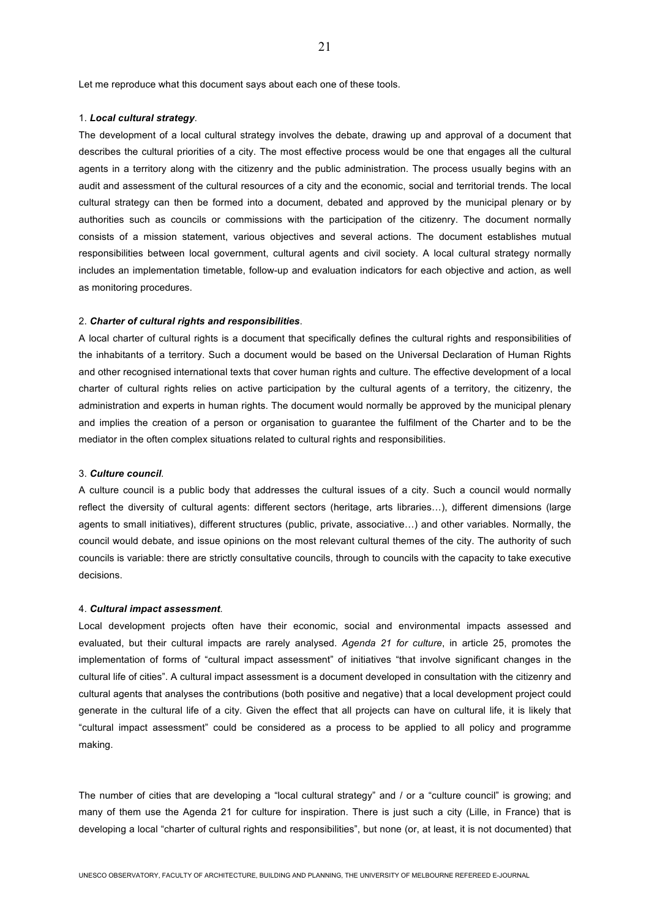Let me reproduce what this document says about each one of these tools.

#### 1. *Local cultural strategy*.

The development of a local cultural strategy involves the debate, drawing up and approval of a document that describes the cultural priorities of a city. The most effective process would be one that engages all the cultural agents in a territory along with the citizenry and the public administration. The process usually begins with an audit and assessment of the cultural resources of a city and the economic, social and territorial trends. The local cultural strategy can then be formed into a document, debated and approved by the municipal plenary or by authorities such as councils or commissions with the participation of the citizenry. The document normally consists of a mission statement, various objectives and several actions. The document establishes mutual responsibilities between local government, cultural agents and civil society. A local cultural strategy normally includes an implementation timetable, follow-up and evaluation indicators for each objective and action, as well as monitoring procedures.

### 2. *Charter of cultural rights and responsibilities*.

A local charter of cultural rights is a document that specifically defines the cultural rights and responsibilities of the inhabitants of a territory. Such a document would be based on the Universal Declaration of Human Rights and other recognised international texts that cover human rights and culture. The effective development of a local charter of cultural rights relies on active participation by the cultural agents of a territory, the citizenry, the administration and experts in human rights. The document would normally be approved by the municipal plenary and implies the creation of a person or organisation to guarantee the fulfilment of the Charter and to be the mediator in the often complex situations related to cultural rights and responsibilities.

#### 3. *Culture council*.

A culture council is a public body that addresses the cultural issues of a city. Such a council would normally reflect the diversity of cultural agents: different sectors (heritage, arts libraries…), different dimensions (large agents to small initiatives), different structures (public, private, associative…) and other variables. Normally, the council would debate, and issue opinions on the most relevant cultural themes of the city. The authority of such councils is variable: there are strictly consultative councils, through to councils with the capacity to take executive decisions.

#### 4. *Cultural impact assessment*.

Local development projects often have their economic, social and environmental impacts assessed and evaluated, but their cultural impacts are rarely analysed. *Agenda 21 for culture*, in article 25, promotes the implementation of forms of "cultural impact assessment" of initiatives "that involve significant changes in the cultural life of cities". A cultural impact assessment is a document developed in consultation with the citizenry and cultural agents that analyses the contributions (both positive and negative) that a local development project could generate in the cultural life of a city. Given the effect that all projects can have on cultural life, it is likely that "cultural impact assessment" could be considered as a process to be applied to all policy and programme making.

The number of cities that are developing a "local cultural strategy" and / or a "culture council" is growing; and many of them use the Agenda 21 for culture for inspiration. There is just such a city (Lille, in France) that is developing a local "charter of cultural rights and responsibilities", but none (or, at least, it is not documented) that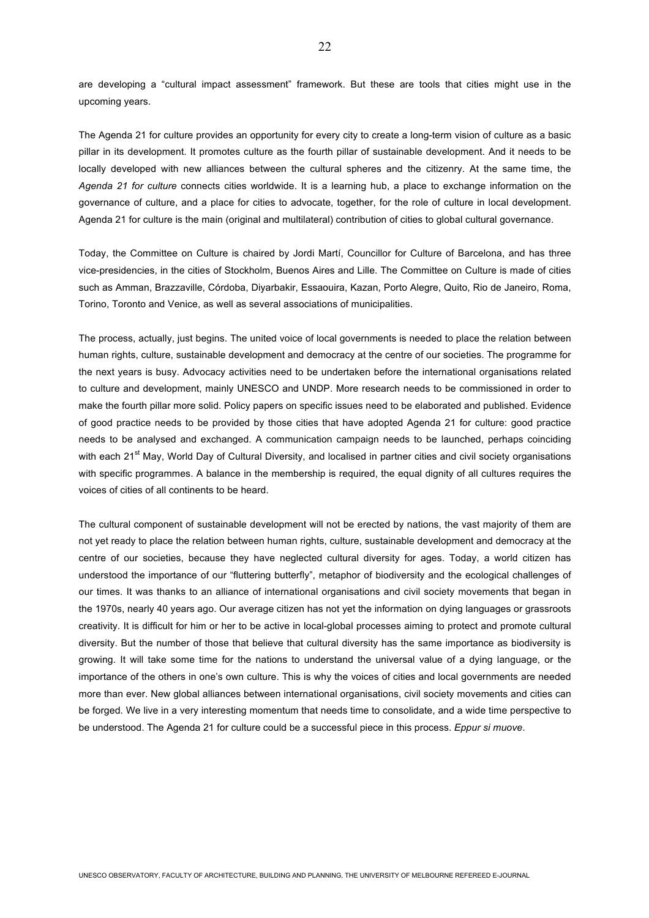are developing a "cultural impact assessment" framework. But these are tools that cities might use in the upcoming years.

The Agenda 21 for culture provides an opportunity for every city to create a long-term vision of culture as a basic pillar in its development. It promotes culture as the fourth pillar of sustainable development. And it needs to be locally developed with new alliances between the cultural spheres and the citizenry. At the same time, the *Agenda 21 for culture* connects cities worldwide. It is a learning hub, a place to exchange information on the governance of culture, and a place for cities to advocate, together, for the role of culture in local development. Agenda 21 for culture is the main (original and multilateral) contribution of cities to global cultural governance.

Today, the Committee on Culture is chaired by Jordi Martí, Councillor for Culture of Barcelona, and has three vice-presidencies, in the cities of Stockholm, Buenos Aires and Lille. The Committee on Culture is made of cities such as Amman, Brazzaville, Córdoba, Diyarbakir, Essaouira, Kazan, Porto Alegre, Quito, Rio de Janeiro, Roma, Torino, Toronto and Venice, as well as several associations of municipalities.

The process, actually, just begins. The united voice of local governments is needed to place the relation between human rights, culture, sustainable development and democracy at the centre of our societies. The programme for the next years is busy. Advocacy activities need to be undertaken before the international organisations related to culture and development, mainly UNESCO and UNDP. More research needs to be commissioned in order to make the fourth pillar more solid. Policy papers on specific issues need to be elaborated and published. Evidence of good practice needs to be provided by those cities that have adopted Agenda 21 for culture: good practice needs to be analysed and exchanged. A communication campaign needs to be launched, perhaps coinciding with each 21<sup>st</sup> May, World Day of Cultural Diversity, and localised in partner cities and civil society organisations with specific programmes. A balance in the membership is required, the equal dignity of all cultures requires the voices of cities of all continents to be heard.

The cultural component of sustainable development will not be erected by nations, the vast majority of them are not yet ready to place the relation between human rights, culture, sustainable development and democracy at the centre of our societies, because they have neglected cultural diversity for ages. Today, a world citizen has understood the importance of our "fluttering butterfly", metaphor of biodiversity and the ecological challenges of our times. It was thanks to an alliance of international organisations and civil society movements that began in the 1970s, nearly 40 years ago. Our average citizen has not yet the information on dying languages or grassroots creativity. It is difficult for him or her to be active in local-global processes aiming to protect and promote cultural diversity. But the number of those that believe that cultural diversity has the same importance as biodiversity is growing. It will take some time for the nations to understand the universal value of a dying language, or the importance of the others in one's own culture. This is why the voices of cities and local governments are needed more than ever. New global alliances between international organisations, civil society movements and cities can be forged. We live in a very interesting momentum that needs time to consolidate, and a wide time perspective to be understood. The Agenda 21 for culture could be a successful piece in this process. *Eppur si muove*.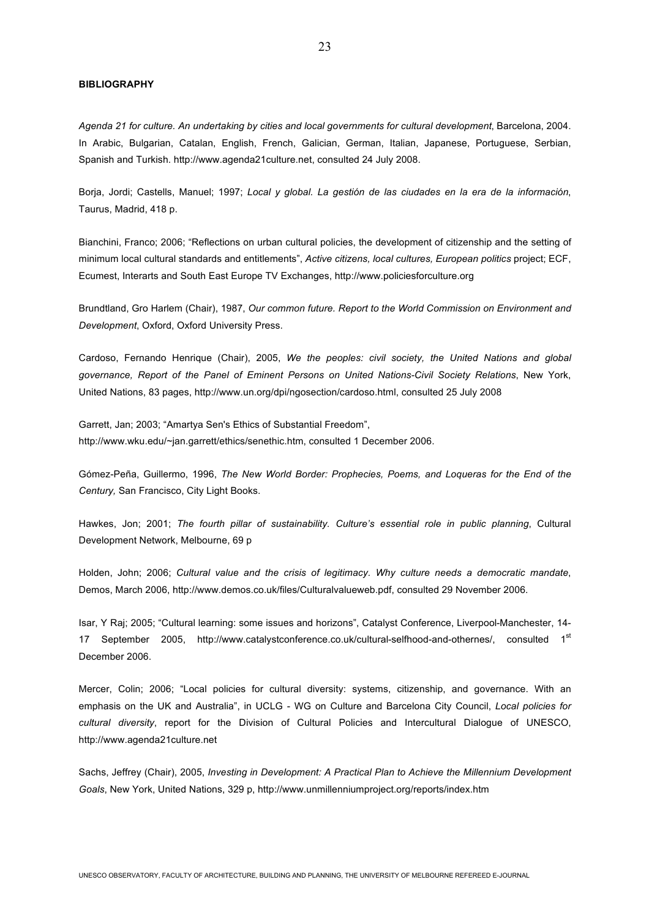#### **BIBLIOGRAPHY**

*Agenda 21 for culture. An undertaking by cities and local governments for cultural development*, Barcelona, 2004. In Arabic, Bulgarian, Catalan, English, French, Galician, German, Italian, Japanese, Portuguese, Serbian, Spanish and Turkish. http://www.agenda21culture.net, consulted 24 July 2008.

Borja, Jordi; Castells, Manuel; 1997; *Local y global. La gestión de las ciudades en la era de la información*, Taurus, Madrid, 418 p.

Bianchini, Franco; 2006; "Reflections on urban cultural policies, the development of citizenship and the setting of minimum local cultural standards and entitlements", *Active citizens, local cultures, European politics* project; ECF, Ecumest, Interarts and South East Europe TV Exchanges, http://www.policiesforculture.org

Brundtland, Gro Harlem (Chair), 1987, *Our common future. Report to the World Commission on Environment and Development*, Oxford, Oxford University Press.

Cardoso, Fernando Henrique (Chair), 2005, *We the peoples: civil society, the United Nations and global governance, Report of the Panel of Eminent Persons on United Nations-Civil Society Relations*, New York, United Nations, 83 pages, http://www.un.org/dpi/ngosection/cardoso.html, consulted 25 July 2008

Garrett, Jan; 2003; "Amartya Sen's Ethics of Substantial Freedom", http://www.wku.edu/~jan.garrett/ethics/senethic.htm, consulted 1 December 2006.

Gómez-Peña, Guillermo, 1996, *The New World Border: Prophecies, Poems, and Loqueras for the End of the Century,* San Francisco, City Light Books.

Hawkes, Jon; 2001; *The fourth pillar of sustainability. Culture's essential role in public planning*, Cultural Development Network, Melbourne, 69 p

Holden, John; 2006; *Cultural value and the crisis of legitimacy. Why culture needs a democratic mandate*, Demos, March 2006, http://www.demos.co.uk/files/Culturalvalueweb.pdf, consulted 29 November 2006.

Isar, Y Raj; 2005; "Cultural learning: some issues and horizons", Catalyst Conference, Liverpool-Manchester, 14- 17 September 2005, http://www.catalystconference.co.uk/cultural-selfhood-and-othernes/, consulted 1<sup>st</sup> December 2006.

Mercer, Colin; 2006; "Local policies for cultural diversity: systems, citizenship, and governance. With an emphasis on the UK and Australia", in UCLG - WG on Culture and Barcelona City Council, *Local policies for cultural diversity*, report for the Division of Cultural Policies and Intercultural Dialogue of UNESCO, http://www.agenda21culture.net

Sachs, Jeffrey (Chair), 2005, *Investing in Development: A Practical Plan to Achieve the Millennium Development Goals*, New York, United Nations, 329 p, http://www.unmillenniumproject.org/reports/index.htm